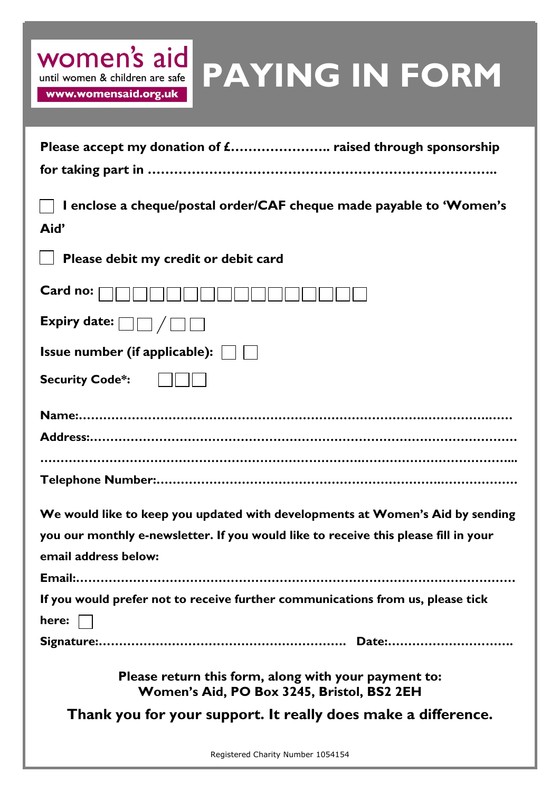| women's aid<br>until women & children are safe | PAYIN |
|------------------------------------------------|-------|
| www.womensaid.org.uk                           |       |
|                                                |       |

| Please accept my donation of £ raised through sponsorship                                          |
|----------------------------------------------------------------------------------------------------|
|                                                                                                    |
| I enclose a cheque/postal order/CAF cheque made payable to 'Women's<br>Aid'                        |
| Please debit my credit or debit card                                                               |
| Card no:                                                                                           |
| Expiry date: $\Box$ $\Box$ $\Box$                                                                  |
| <b>Issue number (if applicable):</b> $\vert$                                                       |
| <b>Security Code*:</b>                                                                             |
|                                                                                                    |
|                                                                                                    |
|                                                                                                    |
|                                                                                                    |
| We would like to keep you updated with developments at Women's Aid by sending                      |
| you our monthly e-newsletter. If you would like to receive this please fill in your                |
| email address below:                                                                               |
|                                                                                                    |
| If you would prefer not to receive further communications from us, please tick                     |
| here:                                                                                              |
|                                                                                                    |
| Please return this form, along with your payment to:<br>Women's Aid, PO Box 3245, Bristol, BS2 2EH |

**G IN FORM** 

**Thank you for your support. It really does make a difference.**